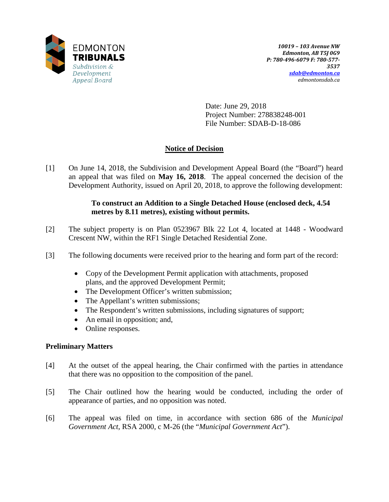

Date: June 29, 2018 Project Number: 278838248-001 File Number: SDAB-D-18-086

# **Notice of Decision**

[1] On June 14, 2018, the Subdivision and Development Appeal Board (the "Board") heard an appeal that was filed on **May 16, 2018**. The appeal concerned the decision of the Development Authority, issued on April 20, 2018, to approve the following development:

### **To construct an Addition to a Single Detached House (enclosed deck, 4.54 metres by 8.11 metres), existing without permits.**

- [2] The subject property is on Plan 0523967 Blk 22 Lot 4, located at 1448 Woodward Crescent NW, within the RF1 Single Detached Residential Zone.
- [3] The following documents were received prior to the hearing and form part of the record:
	- Copy of the Development Permit application with attachments, proposed plans, and the approved Development Permit;
	- The Development Officer's written submission;
	- The Appellant's written submissions;
	- The Respondent's written submissions, including signatures of support;
	- An email in opposition; and,
	- Online responses.

### **Preliminary Matters**

- [4] At the outset of the appeal hearing, the Chair confirmed with the parties in attendance that there was no opposition to the composition of the panel.
- [5] The Chair outlined how the hearing would be conducted, including the order of appearance of parties, and no opposition was noted.
- [6] The appeal was filed on time, in accordance with section 686 of the *Municipal Government Act*, RSA 2000, c M-26 (the "*Municipal Government Act*").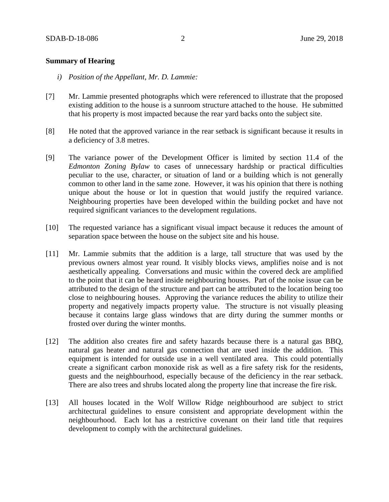#### **Summary of Hearing**

- *i) Position of the Appellant, Mr. D. Lammie:*
- [7] Mr. Lammie presented photographs which were referenced to illustrate that the proposed existing addition to the house is a sunroom structure attached to the house. He submitted that his property is most impacted because the rear yard backs onto the subject site.
- [8] He noted that the approved variance in the rear setback is significant because it results in a deficiency of 3.8 metres.
- [9] The variance power of the Development Officer is limited by section 11.4 of the *Edmonton Zoning Bylaw* to cases of unnecessary hardship or practical difficulties peculiar to the use, character, or situation of land or a building which is not generally common to other land in the same zone. However, it was his opinion that there is nothing unique about the house or lot in question that would justify the required variance. Neighbouring properties have been developed within the building pocket and have not required significant variances to the development regulations.
- [10] The requested variance has a significant visual impact because it reduces the amount of separation space between the house on the subject site and his house.
- [11] Mr. Lammie submits that the addition is a large, tall structure that was used by the previous owners almost year round. It visibly blocks views, amplifies noise and is not aesthetically appealing. Conversations and music within the covered deck are amplified to the point that it can be heard inside neighbouring houses. Part of the noise issue can be attributed to the design of the structure and part can be attributed to the location being too close to neighbouring houses. Approving the variance reduces the ability to utilize their property and negatively impacts property value. The structure is not visually pleasing because it contains large glass windows that are dirty during the summer months or frosted over during the winter months.
- [12] The addition also creates fire and safety hazards because there is a natural gas BBQ, natural gas heater and natural gas connection that are used inside the addition. This equipment is intended for outside use in a well ventilated area. This could potentially create a significant carbon monoxide risk as well as a fire safety risk for the residents, guests and the neighbourhood, especially because of the deficiency in the rear setback. There are also trees and shrubs located along the property line that increase the fire risk.
- [13] All houses located in the Wolf Willow Ridge neighbourhood are subject to strict architectural guidelines to ensure consistent and appropriate development within the neighbourhood. Each lot has a restrictive covenant on their land title that requires development to comply with the architectural guidelines.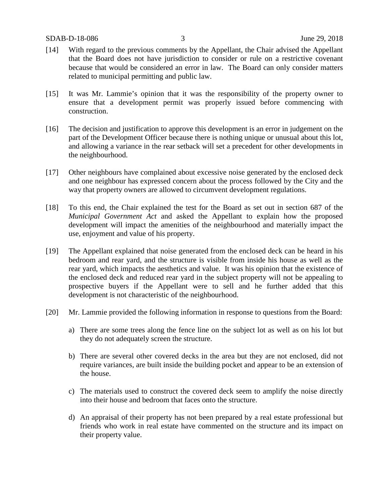- [14] With regard to the previous comments by the Appellant, the Chair advised the Appellant that the Board does not have jurisdiction to consider or rule on a restrictive covenant because that would be considered an error in law. The Board can only consider matters related to municipal permitting and public law.
- [15] It was Mr. Lammie's opinion that it was the responsibility of the property owner to ensure that a development permit was properly issued before commencing with construction.
- [16] The decision and justification to approve this development is an error in judgement on the part of the Development Officer because there is nothing unique or unusual about this lot, and allowing a variance in the rear setback will set a precedent for other developments in the neighbourhood.
- [17] Other neighbours have complained about excessive noise generated by the enclosed deck and one neighbour has expressed concern about the process followed by the City and the way that property owners are allowed to circumvent development regulations.
- [18] To this end, the Chair explained the test for the Board as set out in section 687 of the *Municipal Government Act* and asked the Appellant to explain how the proposed development will impact the amenities of the neighbourhood and materially impact the use, enjoyment and value of his property.
- [19] The Appellant explained that noise generated from the enclosed deck can be heard in his bedroom and rear yard, and the structure is visible from inside his house as well as the rear yard, which impacts the aesthetics and value. It was his opinion that the existence of the enclosed deck and reduced rear yard in the subject property will not be appealing to prospective buyers if the Appellant were to sell and he further added that this development is not characteristic of the neighbourhood.
- [20] Mr. Lammie provided the following information in response to questions from the Board:
	- a) There are some trees along the fence line on the subject lot as well as on his lot but they do not adequately screen the structure.
	- b) There are several other covered decks in the area but they are not enclosed, did not require variances, are built inside the building pocket and appear to be an extension of the house.
	- c) The materials used to construct the covered deck seem to amplify the noise directly into their house and bedroom that faces onto the structure.
	- d) An appraisal of their property has not been prepared by a real estate professional but friends who work in real estate have commented on the structure and its impact on their property value.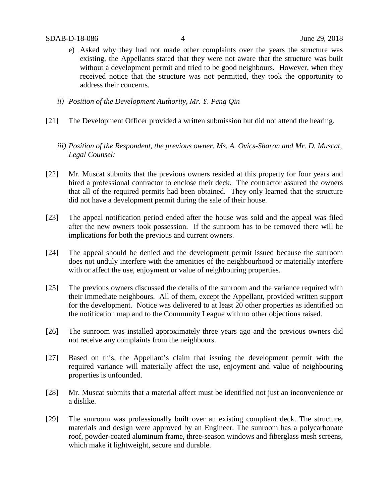- e) Asked why they had not made other complaints over the years the structure was existing, the Appellants stated that they were not aware that the structure was built without a development permit and tried to be good neighbours. However, when they received notice that the structure was not permitted, they took the opportunity to address their concerns.
- *ii) Position of the Development Authority, Mr. Y. Peng Qin*
- [21] The Development Officer provided a written submission but did not attend the hearing.
	- *iii) Position of the Respondent, the previous owner, Ms. A. Ovics-Sharon and Mr. D. Muscat, Legal Counsel:*
- [22] Mr. Muscat submits that the previous owners resided at this property for four years and hired a professional contractor to enclose their deck. The contractor assured the owners that all of the required permits had been obtained. They only learned that the structure did not have a development permit during the sale of their house.
- [23] The appeal notification period ended after the house was sold and the appeal was filed after the new owners took possession. If the sunroom has to be removed there will be implications for both the previous and current owners.
- [24] The appeal should be denied and the development permit issued because the sunroom does not unduly interfere with the amenities of the neighbourhood or materially interfere with or affect the use, enjoyment or value of neighbouring properties.
- [25] The previous owners discussed the details of the sunroom and the variance required with their immediate neighbours. All of them, except the Appellant, provided written support for the development. Notice was delivered to at least 20 other properties as identified on the notification map and to the Community League with no other objections raised.
- [26] The sunroom was installed approximately three years ago and the previous owners did not receive any complaints from the neighbours.
- [27] Based on this, the Appellant's claim that issuing the development permit with the required variance will materially affect the use, enjoyment and value of neighbouring properties is unfounded.
- [28] Mr. Muscat submits that a material affect must be identified not just an inconvenience or a dislike.
- [29] The sunroom was professionally built over an existing compliant deck. The structure, materials and design were approved by an Engineer. The sunroom has a polycarbonate roof, powder-coated aluminum frame, three-season windows and fiberglass mesh screens, which make it lightweight, secure and durable.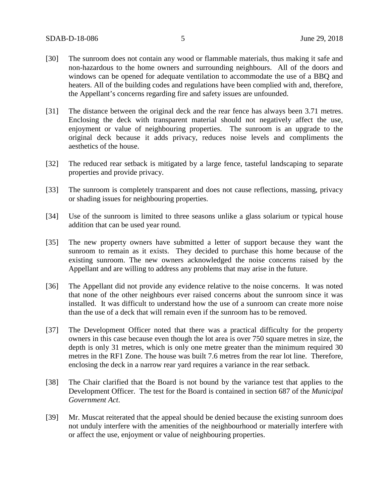- [30] The sunroom does not contain any wood or flammable materials, thus making it safe and non-hazardous to the home owners and surrounding neighbours. All of the doors and windows can be opened for adequate ventilation to accommodate the use of a BBQ and heaters. All of the building codes and regulations have been complied with and, therefore, the Appellant's concerns regarding fire and safety issues are unfounded.
- [31] The distance between the original deck and the rear fence has always been 3.71 metres. Enclosing the deck with transparent material should not negatively affect the use, enjoyment or value of neighbouring properties. The sunroom is an upgrade to the original deck because it adds privacy, reduces noise levels and compliments the aesthetics of the house.
- [32] The reduced rear setback is mitigated by a large fence, tasteful landscaping to separate properties and provide privacy.
- [33] The sunroom is completely transparent and does not cause reflections, massing, privacy or shading issues for neighbouring properties.
- [34] Use of the sunroom is limited to three seasons unlike a glass solarium or typical house addition that can be used year round.
- [35] The new property owners have submitted a letter of support because they want the sunroom to remain as it exists. They decided to purchase this home because of the existing sunroom. The new owners acknowledged the noise concerns raised by the Appellant and are willing to address any problems that may arise in the future.
- [36] The Appellant did not provide any evidence relative to the noise concerns. It was noted that none of the other neighbours ever raised concerns about the sunroom since it was installed. It was difficult to understand how the use of a sunroom can create more noise than the use of a deck that will remain even if the sunroom has to be removed.
- [37] The Development Officer noted that there was a practical difficulty for the property owners in this case because even though the lot area is over 750 square metres in size, the depth is only 31 metres, which is only one metre greater than the minimum required 30 metres in the RF1 Zone. The house was built 7.6 metres from the rear lot line. Therefore, enclosing the deck in a narrow rear yard requires a variance in the rear setback.
- [38] The Chair clarified that the Board is not bound by the variance test that applies to the Development Officer. The test for the Board is contained in section 687 of the *Municipal Government Act*.
- [39] Mr. Muscat reiterated that the appeal should be denied because the existing sunroom does not unduly interfere with the amenities of the neighbourhood or materially interfere with or affect the use, enjoyment or value of neighbouring properties.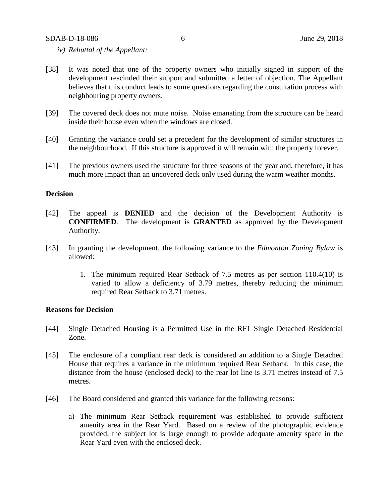#### SDAB-D-18-086 6 June 29, 2018

- *iv) Rebuttal of the Appellant:*
- [38] It was noted that one of the property owners who initially signed in support of the development rescinded their support and submitted a letter of objection. The Appellant believes that this conduct leads to some questions regarding the consultation process with neighbouring property owners.
- [39] The covered deck does not mute noise. Noise emanating from the structure can be heard inside their house even when the windows are closed.
- [40] Granting the variance could set a precedent for the development of similar structures in the neighbourhood. If this structure is approved it will remain with the property forever.
- [41] The previous owners used the structure for three seasons of the year and, therefore, it has much more impact than an uncovered deck only used during the warm weather months.

#### **Decision**

- [42] The appeal is **DENIED** and the decision of the Development Authority is **CONFIRMED**. The development is **GRANTED** as approved by the Development Authority.
- [43] In granting the development, the following variance to the *Edmonton Zoning Bylaw* is allowed:
	- 1. The minimum required Rear Setback of 7.5 metres as per section 110.4(10) is varied to allow a deficiency of 3.79 metres, thereby reducing the minimum required Rear Setback to 3.71 metres.

#### **Reasons for Decision**

- [44] Single Detached Housing is a Permitted Use in the RF1 Single Detached Residential Zone.
- [45] The enclosure of a compliant rear deck is considered an addition to a Single Detached House that requires a variance in the minimum required Rear Setback. In this case, the distance from the house (enclosed deck) to the rear lot line is 3.71 metres instead of 7.5 metres.
- [46] The Board considered and granted this variance for the following reasons:
	- a) The minimum Rear Setback requirement was established to provide sufficient amenity area in the Rear Yard. Based on a review of the photographic evidence provided, the subject lot is large enough to provide adequate amenity space in the Rear Yard even with the enclosed deck.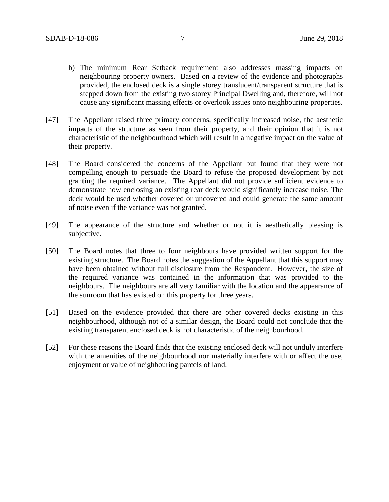- b) The minimum Rear Setback requirement also addresses massing impacts on neighbouring property owners. Based on a review of the evidence and photographs provided, the enclosed deck is a single storey translucent/transparent structure that is stepped down from the existing two storey Principal Dwelling and, therefore, will not cause any significant massing effects or overlook issues onto neighbouring properties.
- [47] The Appellant raised three primary concerns, specifically increased noise, the aesthetic impacts of the structure as seen from their property, and their opinion that it is not characteristic of the neighbourhood which will result in a negative impact on the value of their property.
- [48] The Board considered the concerns of the Appellant but found that they were not compelling enough to persuade the Board to refuse the proposed development by not granting the required variance. The Appellant did not provide sufficient evidence to demonstrate how enclosing an existing rear deck would significantly increase noise. The deck would be used whether covered or uncovered and could generate the same amount of noise even if the variance was not granted.
- [49] The appearance of the structure and whether or not it is aesthetically pleasing is subjective.
- [50] The Board notes that three to four neighbours have provided written support for the existing structure. The Board notes the suggestion of the Appellant that this support may have been obtained without full disclosure from the Respondent. However, the size of the required variance was contained in the information that was provided to the neighbours. The neighbours are all very familiar with the location and the appearance of the sunroom that has existed on this property for three years.
- [51] Based on the evidence provided that there are other covered decks existing in this neighbourhood, although not of a similar design, the Board could not conclude that the existing transparent enclosed deck is not characteristic of the neighbourhood.
- [52] For these reasons the Board finds that the existing enclosed deck will not unduly interfere with the amenities of the neighbourhood nor materially interfere with or affect the use, enjoyment or value of neighbouring parcels of land.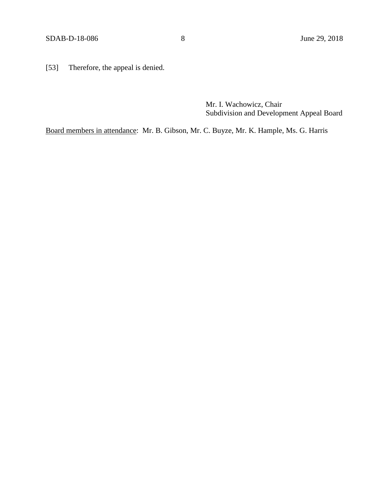[53] Therefore, the appeal is denied.

Mr. I. Wachowicz, Chair Subdivision and Development Appeal Board

Board members in attendance: Mr. B. Gibson, Mr. C. Buyze, Mr. K. Hample, Ms. G. Harris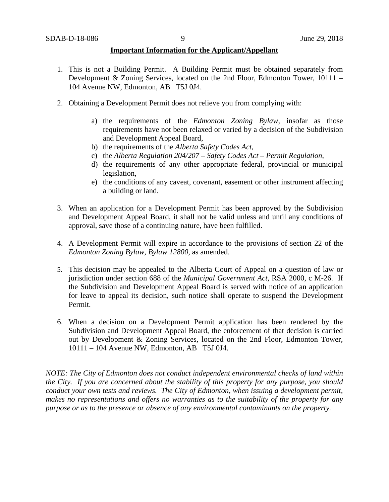#### **Important Information for the Applicant/Appellant**

- 1. This is not a Building Permit. A Building Permit must be obtained separately from Development & Zoning Services, located on the 2nd Floor, Edmonton Tower, 10111 – 104 Avenue NW, Edmonton, AB T5J 0J4.
- 2. Obtaining a Development Permit does not relieve you from complying with:
	- a) the requirements of the *Edmonton Zoning Bylaw*, insofar as those requirements have not been relaxed or varied by a decision of the Subdivision and Development Appeal Board,
	- b) the requirements of the *Alberta Safety Codes Act*,
	- c) the *Alberta Regulation 204/207 – Safety Codes Act – Permit Regulation*,
	- d) the requirements of any other appropriate federal, provincial or municipal legislation,
	- e) the conditions of any caveat, covenant, easement or other instrument affecting a building or land.
- 3. When an application for a Development Permit has been approved by the Subdivision and Development Appeal Board, it shall not be valid unless and until any conditions of approval, save those of a continuing nature, have been fulfilled.
- 4. A Development Permit will expire in accordance to the provisions of section 22 of the *Edmonton Zoning Bylaw, Bylaw 12800*, as amended.
- 5. This decision may be appealed to the Alberta Court of Appeal on a question of law or jurisdiction under section 688 of the *Municipal Government Act*, RSA 2000, c M-26. If the Subdivision and Development Appeal Board is served with notice of an application for leave to appeal its decision, such notice shall operate to suspend the Development Permit.
- 6. When a decision on a Development Permit application has been rendered by the Subdivision and Development Appeal Board, the enforcement of that decision is carried out by Development & Zoning Services, located on the 2nd Floor, Edmonton Tower, 10111 – 104 Avenue NW, Edmonton, AB T5J 0J4.

*NOTE: The City of Edmonton does not conduct independent environmental checks of land within the City. If you are concerned about the stability of this property for any purpose, you should conduct your own tests and reviews. The City of Edmonton, when issuing a development permit, makes no representations and offers no warranties as to the suitability of the property for any purpose or as to the presence or absence of any environmental contaminants on the property.*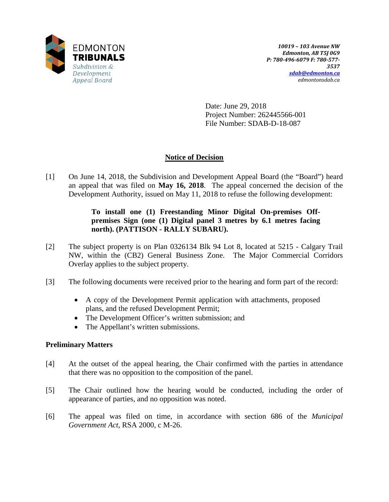

Date: June 29, 2018 Project Number: 262445566-001 File Number: SDAB-D-18-087

## **Notice of Decision**

[1] On June 14, 2018, the Subdivision and Development Appeal Board (the "Board") heard an appeal that was filed on **May 16, 2018**. The appeal concerned the decision of the Development Authority, issued on May 11, 2018 to refuse the following development:

### **To install one (1) Freestanding Minor Digital On-premises Offpremises Sign (one (1) Digital panel 3 metres by 6.1 metres facing north). (PATTISON - RALLY SUBARU).**

- [2] The subject property is on Plan 0326134 Blk 94 Lot 8, located at 5215 Calgary Trail NW, within the (CB2) General Business Zone. The Major Commercial Corridors Overlay applies to the subject property.
- [3] The following documents were received prior to the hearing and form part of the record:
	- A copy of the Development Permit application with attachments, proposed plans, and the refused Development Permit;
	- The Development Officer's written submission; and
	- The Appellant's written submissions.

### **Preliminary Matters**

- [4] At the outset of the appeal hearing, the Chair confirmed with the parties in attendance that there was no opposition to the composition of the panel.
- [5] The Chair outlined how the hearing would be conducted, including the order of appearance of parties, and no opposition was noted.
- [6] The appeal was filed on time, in accordance with section 686 of the *Municipal Government Act*, RSA 2000, c M-26.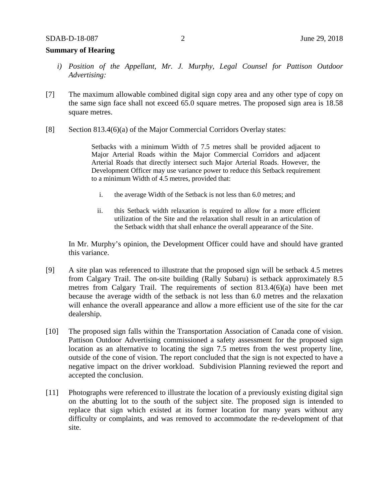### **Summary of Hearing**

- *i) Position of the Appellant, Mr. J. Murphy, Legal Counsel for Pattison Outdoor Advertising:*
- [7] The maximum allowable combined digital sign copy area and any other type of copy on the same sign face shall not exceed 65.0 square metres. The proposed sign area is 18.58 square metres.
- [8] Section 813.4(6)(a) of the Major Commercial Corridors Overlay states:

Setbacks with a minimum Width of 7.5 metres shall be provided adjacent to Major Arterial Roads within the Major Commercial Corridors and adjacent Arterial Roads that directly intersect such Major Arterial Roads. However, the Development Officer may use variance power to reduce this Setback requirement to a minimum Width of 4.5 metres, provided that:

- i. the average Width of the Setback is not less than 6.0 metres; and
- ii. this Setback width relaxation is required to allow for a more efficient utilization of the Site and the relaxation shall result in an articulation of the Setback width that shall enhance the overall appearance of the Site.

In Mr. Murphy's opinion, the Development Officer could have and should have granted this variance.

- [9] A site plan was referenced to illustrate that the proposed sign will be setback 4.5 metres from Calgary Trail. The on-site building (Rally Subaru) is setback approximately 8.5 metres from Calgary Trail. The requirements of section 813.4(6)(a) have been met because the average width of the setback is not less than 6.0 metres and the relaxation will enhance the overall appearance and allow a more efficient use of the site for the car dealership.
- [10] The proposed sign falls within the Transportation Association of Canada cone of vision. Pattison Outdoor Advertising commissioned a safety assessment for the proposed sign location as an alternative to locating the sign 7.5 metres from the west property line, outside of the cone of vision. The report concluded that the sign is not expected to have a negative impact on the driver workload. Subdivision Planning reviewed the report and accepted the conclusion.
- [11] Photographs were referenced to illustrate the location of a previously existing digital sign on the abutting lot to the south of the subject site. The proposed sign is intended to replace that sign which existed at its former location for many years without any difficulty or complaints, and was removed to accommodate the re-development of that site.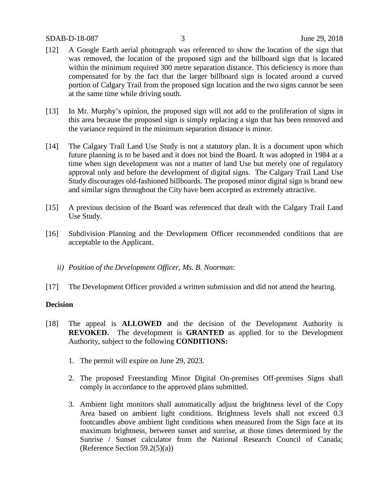#### SDAB-D-18-087 3 June 29, 2018

- [12] A Google Earth aerial photograph was referenced to show the location of the sign that was removed, the location of the proposed sign and the billboard sign that is located within the minimum required 300 metre separation distance. This deficiency is more than compensated for by the fact that the larger billboard sign is located around a curved portion of Calgary Trail from the proposed sign location and the two signs cannot be seen at the same time while driving south.
- [13] In Mr. Murphy's opinion, the proposed sign will not add to the proliferation of signs in this area because the proposed sign is simply replacing a sign that has been removed and the variance required in the minimum separation distance is minor.
- [14] The Calgary Trail Land Use Study is not a statutory plan. It is a document upon which future planning is to be based and it does not bind the Board. It was adopted in 1984 at a time when sign development was not a matter of land Use but merely one of regulatory approval only and before the development of digital signs. The Calgary Trail Land Use Study discourages old-fashioned billboards. The proposed minor digital sign is brand new and similar signs throughout the City have been accepted as extremely attractive.
- [15] A previous decision of the Board was referenced that dealt with the Calgary Trail Land Use Study.
- [16] Subdivision Planning and the Development Officer recommended conditions that are acceptable to the Applicant.
	- *ii) Position of the Development Officer, Ms. B. Noorman:*
- [17] The Development Officer provided a written submission and did not attend the hearing.

#### **Decision**

- [18] The appeal is **ALLOWED** and the decision of the Development Authority is **REVOKED.** The development is **GRANTED** as applied for to the Development Authority, subject to the following **CONDITIONS:**
	- 1. The permit will expire on June 29, 2023.
	- 2. The proposed Freestanding Minor Digital On-premises Off-premises Signs shall comply in accordance to the approved plans submitted.
	- 3. Ambient light monitors shall automatically adjust the brightness level of the Copy Area based on ambient light conditions. Brightness levels shall not exceed 0.3 footcandles above ambient light conditions when measured from the Sign face at its maximum brightness, between sunset and sunrise, at those times determined by the Sunrise / Sunset calculator from the National Research Council of Canada; (Reference Section  $59.2(5)(a)$ )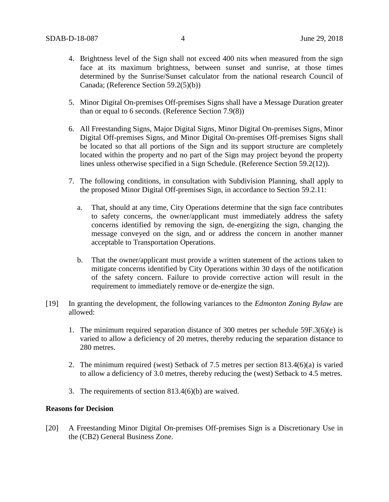- 4. Brightness level of the Sign shall not exceed 400 nits when measured from the sign face at its maximum brightness, between sunset and sunrise, at those times determined by the Sunrise/Sunset calculator from the national research Council of Canada; (Reference Section 59.2(5)(b))
- 5. Minor Digital On-premises Off-premises Signs shall have a Message Duration greater than or equal to 6 seconds. (Reference Section 7.9(8))
- 6. All Freestanding Signs, Major Digital Signs, Minor Digital On-premises Signs, Minor Digital Off-premises Signs, and Minor Digital On-premises Off-premises Signs shall be located so that all portions of the Sign and its support structure are completely located within the property and no part of the Sign may project beyond the property lines unless otherwise specified in a Sign Schedule. (Reference Section 59.2(12)).
- 7. The following conditions, in consultation with Subdivision Planning, shall apply to the proposed Minor Digital Off-premises Sign, in accordance to Section 59.2.11:
	- a. That, should at any time, City Operations determine that the sign face contributes to safety concerns, the owner/applicant must immediately address the safety concerns identified by removing the sign, de-energizing the sign, changing the message conveyed on the sign, and or address the concern in another manner acceptable to Transportation Operations.
	- b. That the owner/applicant must provide a written statement of the actions taken to mitigate concerns identified by City Operations within 30 days of the notification of the safety concern. Failure to provide corrective action will result in the requirement to immediately remove or de-energize the sign.
- [19] In granting the development, the following variances to the *Edmonton Zoning Bylaw* are allowed:
	- 1. The minimum required separation distance of 300 metres per schedule 59F.3(6)(e) is varied to allow a deficiency of 20 metres, thereby reducing the separation distance to 280 metres.
	- 2. The minimum required (west) Setback of 7.5 metres per section 813.4(6)(a) is varied to allow a deficiency of 3.0 metres, thereby reducing the (west) Setback to 4.5 metres.
	- 3. The requirements of section 813.4(6)(b) are waived.

### **Reasons for Decision**

[20] A Freestanding Minor Digital On-premises Off-premises Sign is a Discretionary Use in the (CB2) General Business Zone.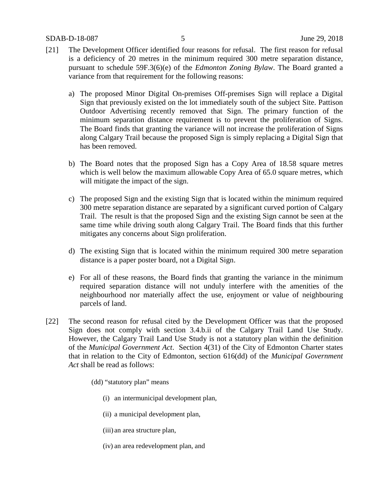SDAB-D-18-087 5 June 29, 2018

- [21] The Development Officer identified four reasons for refusal. The first reason for refusal is a deficiency of 20 metres in the minimum required 300 metre separation distance, pursuant to schedule 59F.3(6)(e) of the *Edmonton Zoning Bylaw*. The Board granted a variance from that requirement for the following reasons:
	- a) The proposed Minor Digital On-premises Off-premises Sign will replace a Digital Sign that previously existed on the lot immediately south of the subject Site. Pattison Outdoor Advertising recently removed that Sign. The primary function of the minimum separation distance requirement is to prevent the proliferation of Signs. The Board finds that granting the variance will not increase the proliferation of Signs along Calgary Trail because the proposed Sign is simply replacing a Digital Sign that has been removed.
	- b) The Board notes that the proposed Sign has a Copy Area of 18.58 square metres which is well below the maximum allowable Copy Area of 65.0 square metres, which will mitigate the impact of the sign.
	- c) The proposed Sign and the existing Sign that is located within the minimum required 300 metre separation distance are separated by a significant curved portion of Calgary Trail. The result is that the proposed Sign and the existing Sign cannot be seen at the same time while driving south along Calgary Trail. The Board finds that this further mitigates any concerns about Sign proliferation.
	- d) The existing Sign that is located within the minimum required 300 metre separation distance is a paper poster board, not a Digital Sign.
	- e) For all of these reasons, the Board finds that granting the variance in the minimum required separation distance will not unduly interfere with the amenities of the neighbourhood nor materially affect the use, enjoyment or value of neighbouring parcels of land.
- [22] The second reason for refusal cited by the Development Officer was that the proposed Sign does not comply with section 3.4.b.ii of the Calgary Trail Land Use Study. However, the Calgary Trail Land Use Study is not a statutory plan within the definition of the *Municipal Government Act*. Section 4(31) of the City of Edmonton Charter states that in relation to the City of Edmonton, section 616(dd) of the *Municipal Government Act* shall be read as follows:
	- (dd) "statutory plan" means
		- (i) an intermunicipal development plan,
		- (ii) a municipal development plan,
		- (iii) an area structure plan,
		- (iv) an area redevelopment plan, and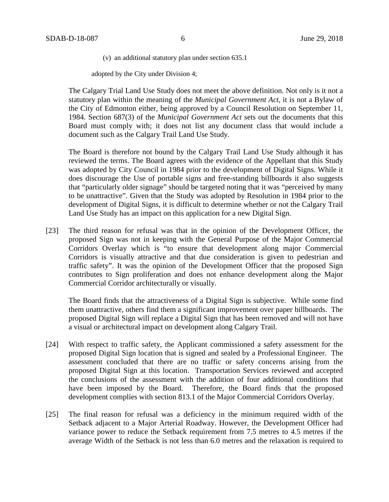(v) an additional statutory plan under section 635.1

adopted by the City under Division 4;

The Calgary Trial Land Use Study does not meet the above definition. Not only is it not a statutory plan within the meaning of the *Municipal Government Act*, it is not a Bylaw of the City of Edmonton either, being approved by a Council Resolution on September 11, 1984. Section 687(3) of the *Municipal Government Act* sets out the documents that this Board must comply with; it does not list any document class that would include a document such as the Calgary Trail Land Use Study.

The Board is therefore not bound by the Calgary Trail Land Use Study although it has reviewed the terms. The Board agrees with the evidence of the Appellant that this Study was adopted by City Council in 1984 prior to the development of Digital Signs. While it does discourage the Use of portable signs and free-standing billboards it also suggests that "particularly older signage" should be targeted noting that it was "perceived by many to be unattractive". Given that the Study was adopted by Resolution in 1984 prior to the development of Digital Signs, it is difficult to determine whether or not the Calgary Trail Land Use Study has an impact on this application for a new Digital Sign.

[23] The third reason for refusal was that in the opinion of the Development Officer, the proposed Sign was not in keeping with the General Purpose of the Major Commercial Corridors Overlay which is "to ensure that development along major Commercial Corridors is visually attractive and that due consideration is given to pedestrian and traffic safety". It was the opinion of the Development Officer that the proposed Sign contributes to Sign proliferation and does not enhance development along the Major Commercial Corridor architecturally or visually.

The Board finds that the attractiveness of a Digital Sign is subjective. While some find them unattractive, others find them a significant improvement over paper billboards. The proposed Digital Sign will replace a Digital Sign that has been removed and will not have a visual or architectural impact on development along Calgary Trail.

- [24] With respect to traffic safety, the Applicant commissioned a safety assessment for the proposed Digital Sign location that is signed and sealed by a Professional Engineer. The assessment concluded that there are no traffic or safety concerns arising from the proposed Digital Sign at this location. Transportation Services reviewed and accepted the conclusions of the assessment with the addition of four additional conditions that have been imposed by the Board. Therefore, the Board finds that the proposed development complies with section 813.1 of the Major Commercial Corridors Overlay.
- [25] The final reason for refusal was a deficiency in the minimum required width of the Setback adjacent to a Major Arterial Roadway. However, the Development Officer had variance power to reduce the Setback requirement from 7.5 metres to 4.5 metres if the average Width of the Setback is not less than 6.0 metres and the relaxation is required to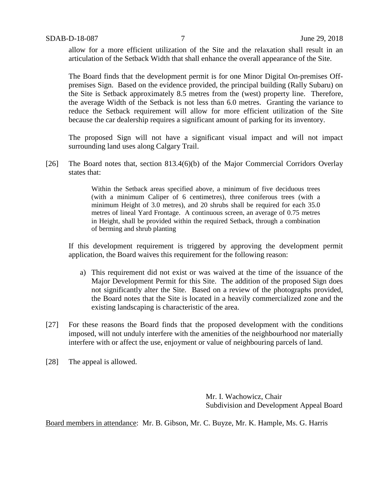allow for a more efficient utilization of the Site and the relaxation shall result in an articulation of the Setback Width that shall enhance the overall appearance of the Site.

The Board finds that the development permit is for one Minor Digital On-premises Offpremises Sign. Based on the evidence provided, the principal building (Rally Subaru) on the Site is Setback approximately 8.5 metres from the (west) property line. Therefore, the average Width of the Setback is not less than 6.0 metres. Granting the variance to reduce the Setback requirement will allow for more efficient utilization of the Site because the car dealership requires a significant amount of parking for its inventory.

The proposed Sign will not have a significant visual impact and will not impact surrounding land uses along Calgary Trail.

[26] The Board notes that, section 813.4(6)(b) of the Major Commercial Corridors Overlay states that:

> Within the Setback areas specified above, a minimum of five deciduous trees (with a minimum Caliper of 6 centimetres), three coniferous trees (with a minimum Height of 3.0 metres), and 20 shrubs shall be required for each 35.0 metres of lineal Yard Frontage. A continuous screen, an average of 0.75 metres in Height, shall be provided within the required Setback, through a combination of berming and shrub planting

If this development requirement is triggered by approving the development permit application, the Board waives this requirement for the following reason:

- a) This requirement did not exist or was waived at the time of the issuance of the Major Development Permit for this Site. The addition of the proposed Sign does not significantly alter the Site. Based on a review of the photographs provided, the Board notes that the Site is located in a heavily commercialized zone and the existing landscaping is characteristic of the area.
- [27] For these reasons the Board finds that the proposed development with the conditions imposed, will not unduly interfere with the amenities of the neighbourhood nor materially interfere with or affect the use, enjoyment or value of neighbouring parcels of land.
- [28] The appeal is allowed.

Mr. I. Wachowicz, Chair Subdivision and Development Appeal Board

Board members in attendance: Mr. B. Gibson, Mr. C. Buyze, Mr. K. Hample, Ms. G. Harris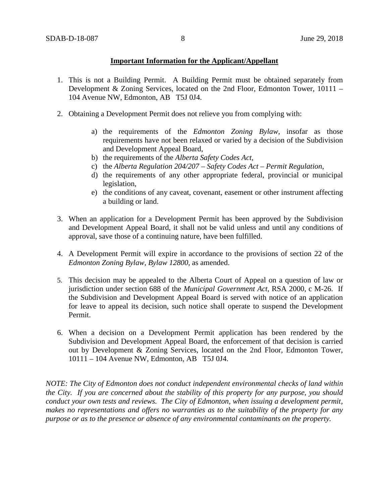### **Important Information for the Applicant/Appellant**

- 1. This is not a Building Permit. A Building Permit must be obtained separately from Development & Zoning Services, located on the 2nd Floor, Edmonton Tower, 10111 – 104 Avenue NW, Edmonton, AB T5J 0J4.
- 2. Obtaining a Development Permit does not relieve you from complying with:
	- a) the requirements of the *Edmonton Zoning Bylaw*, insofar as those requirements have not been relaxed or varied by a decision of the Subdivision and Development Appeal Board,
	- b) the requirements of the *Alberta Safety Codes Act*,
	- c) the *Alberta Regulation 204/207 – Safety Codes Act – Permit Regulation*,
	- d) the requirements of any other appropriate federal, provincial or municipal legislation,
	- e) the conditions of any caveat, covenant, easement or other instrument affecting a building or land.
- 3. When an application for a Development Permit has been approved by the Subdivision and Development Appeal Board, it shall not be valid unless and until any conditions of approval, save those of a continuing nature, have been fulfilled.
- 4. A Development Permit will expire in accordance to the provisions of section 22 of the *Edmonton Zoning Bylaw, Bylaw 12800*, as amended.
- 5. This decision may be appealed to the Alberta Court of Appeal on a question of law or jurisdiction under section 688 of the *Municipal Government Act*, RSA 2000, c M-26. If the Subdivision and Development Appeal Board is served with notice of an application for leave to appeal its decision, such notice shall operate to suspend the Development Permit.
- 6. When a decision on a Development Permit application has been rendered by the Subdivision and Development Appeal Board, the enforcement of that decision is carried out by Development & Zoning Services, located on the 2nd Floor, Edmonton Tower, 10111 – 104 Avenue NW, Edmonton, AB T5J 0J4.

*NOTE: The City of Edmonton does not conduct independent environmental checks of land within the City. If you are concerned about the stability of this property for any purpose, you should conduct your own tests and reviews. The City of Edmonton, when issuing a development permit, makes no representations and offers no warranties as to the suitability of the property for any purpose or as to the presence or absence of any environmental contaminants on the property.*